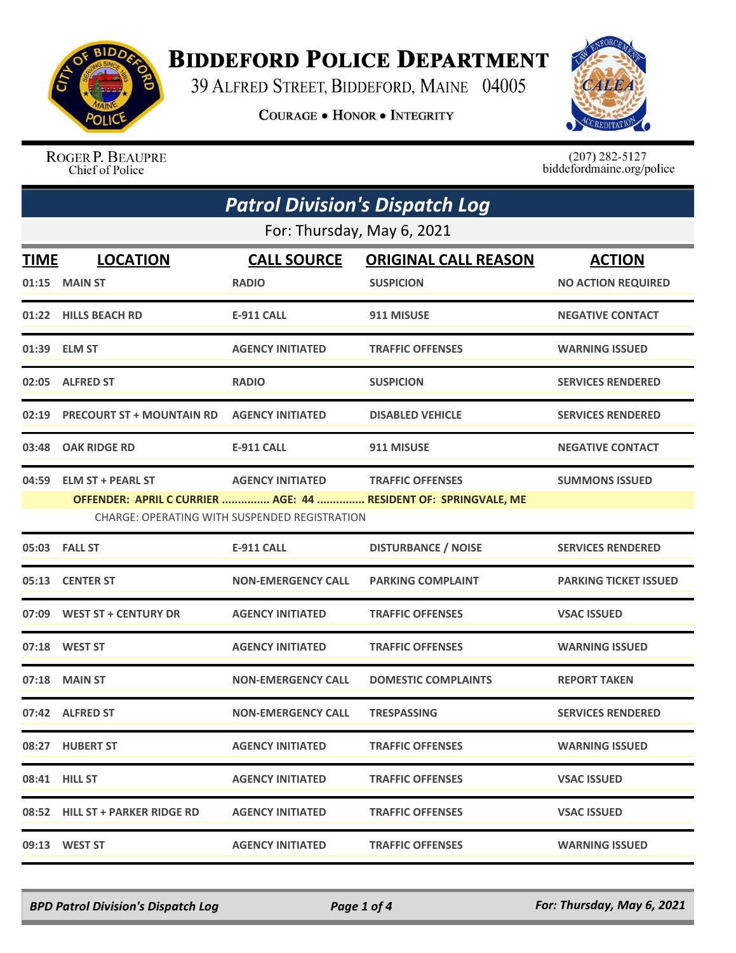

## **BIDDEFORD POLICE DEPARTMENT**

39 ALFRED STREET, BIDDEFORD, MAINE 04005

**COURAGE . HONOR . INTEGRITY** 



ROGER P. BEAUPRE Chief of Police

 $(207)$  282-5127<br>biddefordmaine.org/police

| <b>Patrol Division's Dispatch Log</b> |                                  |                                                                                 |                                                                                            |                              |  |  |
|---------------------------------------|----------------------------------|---------------------------------------------------------------------------------|--------------------------------------------------------------------------------------------|------------------------------|--|--|
|                                       | For: Thursday, May 6, 2021       |                                                                                 |                                                                                            |                              |  |  |
| <b>TIME</b>                           | <b>LOCATION</b>                  | <b>CALL SOURCE</b>                                                              | <b>ORIGINAL CALL REASON</b>                                                                | <b>ACTION</b>                |  |  |
|                                       | 01:15 MAIN ST                    | <b>RADIO</b>                                                                    | <b>SUSPICION</b>                                                                           | <b>NO ACTION REQUIRED</b>    |  |  |
|                                       | 01:22 HILLS BEACH RD             | <b>E-911 CALL</b>                                                               | 911 MISUSE                                                                                 | <b>NEGATIVE CONTACT</b>      |  |  |
| 01:39                                 | <b>ELM ST</b>                    | <b>AGENCY INITIATED</b>                                                         | <b>TRAFFIC OFFENSES</b>                                                                    | <b>WARNING ISSUED</b>        |  |  |
|                                       | 02:05 ALFRED ST                  | <b>RADIO</b>                                                                    | <b>SUSPICION</b>                                                                           | <b>SERVICES RENDERED</b>     |  |  |
| 02:19                                 | <b>PRECOURT ST + MOUNTAIN RD</b> | <b>AGENCY INITIATED</b>                                                         | <b>DISABLED VEHICLE</b>                                                                    | <b>SERVICES RENDERED</b>     |  |  |
| 03:48                                 | <b>OAK RIDGE RD</b>              | <b>E-911 CALL</b>                                                               | 911 MISUSE                                                                                 | <b>NEGATIVE CONTACT</b>      |  |  |
| 04:59                                 | <b>ELM ST + PEARL ST</b>         | <b>AGENCY INITIATED</b><br><b>CHARGE: OPERATING WITH SUSPENDED REGISTRATION</b> | <b>TRAFFIC OFFENSES</b><br>OFFENDER: APRIL C CURRIER  AGE: 44  RESIDENT OF: SPRINGVALE, ME | <b>SUMMONS ISSUED</b>        |  |  |
|                                       | 05:03 FALL ST                    | <b>E-911 CALL</b>                                                               | <b>DISTURBANCE / NOISE</b>                                                                 | <b>SERVICES RENDERED</b>     |  |  |
| 05:13                                 | <b>CENTER ST</b>                 | <b>NON-EMERGENCY CALL</b>                                                       | <b>PARKING COMPLAINT</b>                                                                   | <b>PARKING TICKET ISSUED</b> |  |  |
|                                       | 07:09 WEST ST + CENTURY DR       | <b>AGENCY INITIATED</b>                                                         | <b>TRAFFIC OFFENSES</b>                                                                    | <b>VSAC ISSUED</b>           |  |  |
|                                       | 07:18 WEST ST                    | <b>AGENCY INITIATED</b>                                                         | <b>TRAFFIC OFFENSES</b>                                                                    | <b>WARNING ISSUED</b>        |  |  |
| 07:18                                 | <b>MAIN ST</b>                   | <b>NON-EMERGENCY CALL</b>                                                       | <b>DOMESTIC COMPLAINTS</b>                                                                 | <b>REPORT TAKEN</b>          |  |  |
|                                       | 07:42 ALFRED ST                  | <b>NON-EMERGENCY CALL</b>                                                       | <b>TRESPASSING</b>                                                                         | <b>SERVICES RENDERED</b>     |  |  |
|                                       | 08:27 HUBERT ST                  | <b>AGENCY INITIATED</b>                                                         | <b>TRAFFIC OFFENSES</b>                                                                    | <b>WARNING ISSUED</b>        |  |  |
|                                       | 08:41 HILL ST                    | <b>AGENCY INITIATED</b>                                                         | <b>TRAFFIC OFFENSES</b>                                                                    | <b>VSAC ISSUED</b>           |  |  |
|                                       | 08:52 HILL ST + PARKER RIDGE RD  | <b>AGENCY INITIATED</b>                                                         | <b>TRAFFIC OFFENSES</b>                                                                    | <b>VSAC ISSUED</b>           |  |  |
|                                       | 09:13 WEST ST                    | <b>AGENCY INITIATED</b>                                                         | <b>TRAFFIC OFFENSES</b>                                                                    | <b>WARNING ISSUED</b>        |  |  |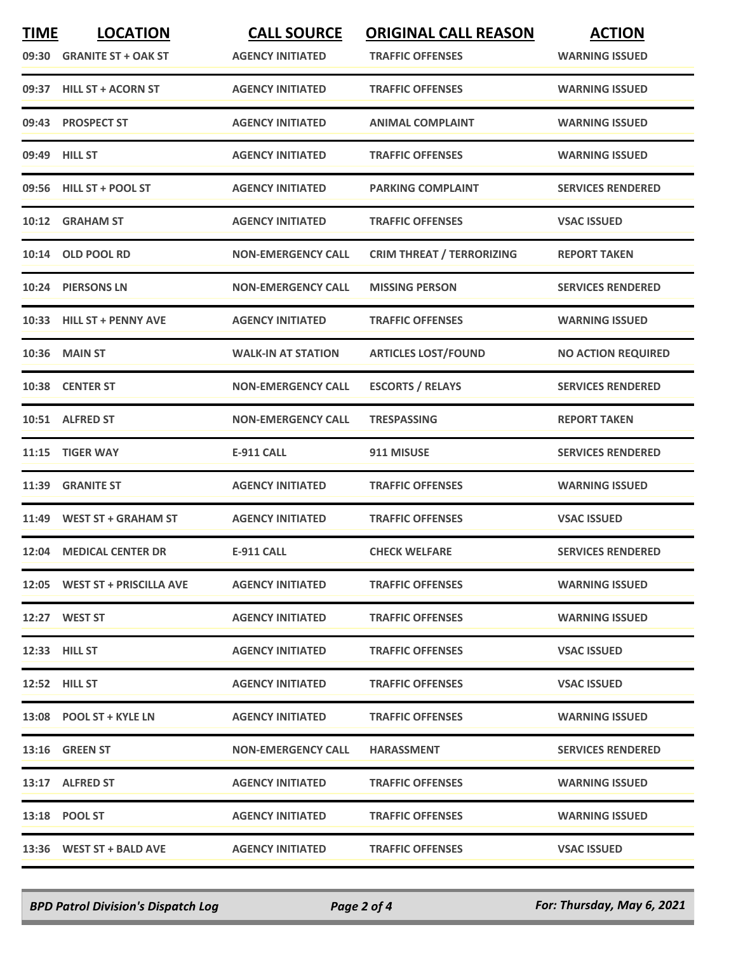| <b>TIME</b> | <b>LOCATION</b><br>09:30 GRANITE ST + OAK ST | <b>CALL SOURCE</b><br><b>AGENCY INITIATED</b> | <b>ORIGINAL CALL REASON</b><br><b>TRAFFIC OFFENSES</b> | <b>ACTION</b><br><b>WARNING ISSUED</b> |
|-------------|----------------------------------------------|-----------------------------------------------|--------------------------------------------------------|----------------------------------------|
|             | 09:37 HILL ST + ACORN ST                     | <b>AGENCY INITIATED</b>                       | <b>TRAFFIC OFFENSES</b>                                | <b>WARNING ISSUED</b>                  |
|             | 09:43 PROSPECT ST                            | <b>AGENCY INITIATED</b>                       | <b>ANIMAL COMPLAINT</b>                                | <b>WARNING ISSUED</b>                  |
|             | 09:49 HILL ST                                | <b>AGENCY INITIATED</b>                       | <b>TRAFFIC OFFENSES</b>                                | <b>WARNING ISSUED</b>                  |
|             | 09:56 HILL ST + POOL ST                      | <b>AGENCY INITIATED</b>                       | <b>PARKING COMPLAINT</b>                               | <b>SERVICES RENDERED</b>               |
|             | 10:12 GRAHAM ST                              | <b>AGENCY INITIATED</b>                       | <b>TRAFFIC OFFENSES</b>                                | <b>VSAC ISSUED</b>                     |
| 10:14       | <b>OLD POOL RD</b>                           | <b>NON-EMERGENCY CALL</b>                     | <b>CRIM THREAT / TERRORIZING</b>                       | <b>REPORT TAKEN</b>                    |
|             | 10:24 PIERSONS LN                            | <b>NON-EMERGENCY CALL</b>                     | <b>MISSING PERSON</b>                                  | <b>SERVICES RENDERED</b>               |
|             | 10:33 HILL ST + PENNY AVE                    | <b>AGENCY INITIATED</b>                       | <b>TRAFFIC OFFENSES</b>                                | <b>WARNING ISSUED</b>                  |
| 10:36       | <b>MAIN ST</b>                               | <b>WALK-IN AT STATION</b>                     | <b>ARTICLES LOST/FOUND</b>                             | <b>NO ACTION REQUIRED</b>              |
|             | 10:38 CENTER ST                              | <b>NON-EMERGENCY CALL</b>                     | <b>ESCORTS / RELAYS</b>                                | <b>SERVICES RENDERED</b>               |
|             | 10:51 ALFRED ST                              | <b>NON-EMERGENCY CALL</b>                     | TRESPASSING                                            | <b>REPORT TAKEN</b>                    |
| 11:15       | <b>TIGER WAY</b>                             | <b>E-911 CALL</b>                             | 911 MISUSE                                             | <b>SERVICES RENDERED</b>               |
| 11:39       | <b>GRANITE ST</b>                            | <b>AGENCY INITIATED</b>                       | <b>TRAFFIC OFFENSES</b>                                | <b>WARNING ISSUED</b>                  |
|             | 11:49 WEST ST + GRAHAM ST                    | <b>AGENCY INITIATED</b>                       | <b>TRAFFIC OFFENSES</b>                                | <b>VSAC ISSUED</b>                     |
|             | 12:04 MEDICAL CENTER DR                      | <b>E-911 CALL</b>                             | <b>CHECK WELFARE</b>                                   | <b>SERVICES RENDERED</b>               |
|             | 12:05 WEST ST + PRISCILLA AVE                | <b>AGENCY INITIATED</b>                       | <b>TRAFFIC OFFENSES</b>                                | <b>WARNING ISSUED</b>                  |
|             | 12:27 WEST ST                                | <b>AGENCY INITIATED</b>                       | <b>TRAFFIC OFFENSES</b>                                | <b>WARNING ISSUED</b>                  |
|             | 12:33 HILL ST                                | <b>AGENCY INITIATED</b>                       | <b>TRAFFIC OFFENSES</b>                                | <b>VSAC ISSUED</b>                     |
|             | <b>12:52 HILL ST</b>                         | <b>AGENCY INITIATED</b>                       | <b>TRAFFIC OFFENSES</b>                                | <b>VSAC ISSUED</b>                     |
|             | 13:08 POOL ST + KYLE LN                      | <b>AGENCY INITIATED</b>                       | <b>TRAFFIC OFFENSES</b>                                | <b>WARNING ISSUED</b>                  |
|             | <b>13:16 GREEN ST</b>                        | <b>NON-EMERGENCY CALL</b>                     | <b>HARASSMENT</b>                                      | <b>SERVICES RENDERED</b>               |
|             | 13:17 ALFRED ST                              | <b>AGENCY INITIATED</b>                       | <b>TRAFFIC OFFENSES</b>                                | <b>WARNING ISSUED</b>                  |
|             | 13:18 POOL ST                                | <b>AGENCY INITIATED</b>                       | <b>TRAFFIC OFFENSES</b>                                | <b>WARNING ISSUED</b>                  |
|             | 13:36 WEST ST + BALD AVE                     | <b>AGENCY INITIATED</b>                       | <b>TRAFFIC OFFENSES</b>                                | <b>VSAC ISSUED</b>                     |

*BPD Patrol Division's Dispatch Log Page 2 of 4 For: Thursday, May 6, 2021*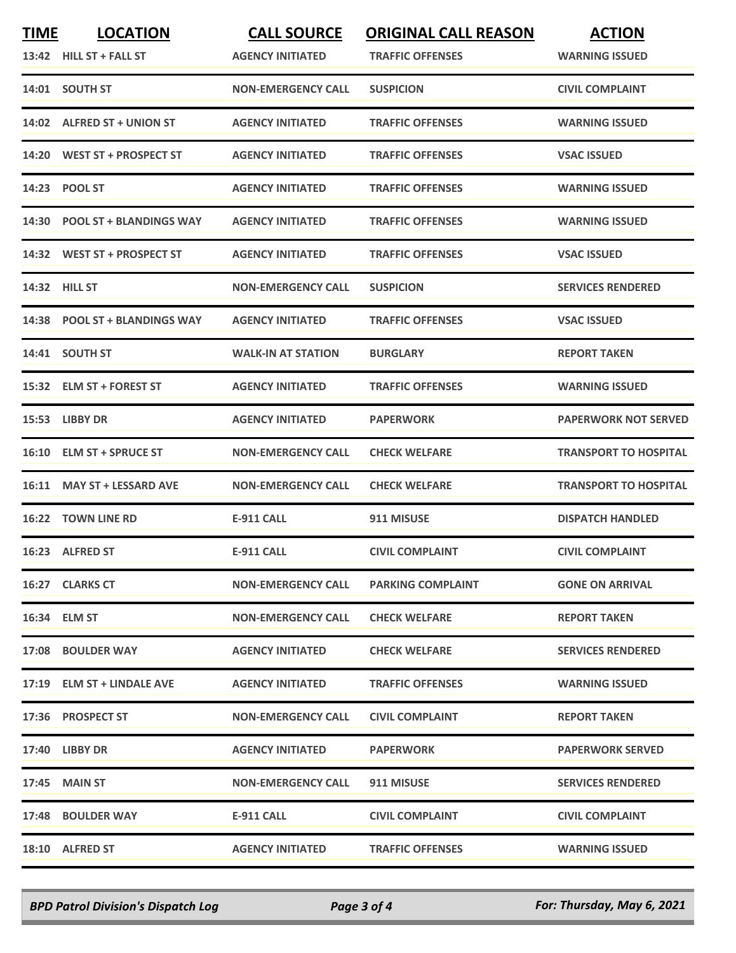| <u>TIME</u> | <b>LOCATION</b>               | <b>CALL SOURCE</b>        | <b>ORIGINAL CALL REASON</b> | <b>ACTION</b>                |
|-------------|-------------------------------|---------------------------|-----------------------------|------------------------------|
|             | 13:42 HILL ST + FALL ST       | <b>AGENCY INITIATED</b>   | <b>TRAFFIC OFFENSES</b>     | <b>WARNING ISSUED</b>        |
|             | 14:01 SOUTH ST                | <b>NON-EMERGENCY CALL</b> | <b>SUSPICION</b>            | <b>CIVIL COMPLAINT</b>       |
|             | 14:02 ALFRED ST + UNION ST    | <b>AGENCY INITIATED</b>   | <b>TRAFFIC OFFENSES</b>     | <b>WARNING ISSUED</b>        |
|             | 14:20 WEST ST + PROSPECT ST   | <b>AGENCY INITIATED</b>   | <b>TRAFFIC OFFENSES</b>     | <b>VSAC ISSUED</b>           |
|             | 14:23 POOL ST                 | <b>AGENCY INITIATED</b>   | <b>TRAFFIC OFFENSES</b>     | <b>WARNING ISSUED</b>        |
|             | 14:30 POOL ST + BLANDINGS WAY | <b>AGENCY INITIATED</b>   | <b>TRAFFIC OFFENSES</b>     | <b>WARNING ISSUED</b>        |
|             | 14:32 WEST ST + PROSPECT ST   | <b>AGENCY INITIATED</b>   | <b>TRAFFIC OFFENSES</b>     | <b>VSAC ISSUED</b>           |
|             | 14:32 HILL ST                 | <b>NON-EMERGENCY CALL</b> | <b>SUSPICION</b>            | <b>SERVICES RENDERED</b>     |
|             | 14:38 POOL ST + BLANDINGS WAY | <b>AGENCY INITIATED</b>   | <b>TRAFFIC OFFENSES</b>     | <b>VSAC ISSUED</b>           |
|             | 14:41 SOUTH ST                | <b>WALK-IN AT STATION</b> | <b>BURGLARY</b>             | <b>REPORT TAKEN</b>          |
|             | 15:32 ELM ST + FOREST ST      | <b>AGENCY INITIATED</b>   | <b>TRAFFIC OFFENSES</b>     | <b>WARNING ISSUED</b>        |
|             | 15:53 LIBBY DR                | <b>AGENCY INITIATED</b>   | <b>PAPERWORK</b>            | <b>PAPERWORK NOT SERVED</b>  |
|             | 16:10 ELM ST + SPRUCE ST      | <b>NON-EMERGENCY CALL</b> | <b>CHECK WELFARE</b>        | <b>TRANSPORT TO HOSPITAL</b> |
| 16:11       | <b>MAY ST + LESSARD AVE</b>   | <b>NON-EMERGENCY CALL</b> | <b>CHECK WELFARE</b>        | <b>TRANSPORT TO HOSPITAL</b> |
| 16:22       | <b>TOWN LINE RD</b>           | <b>E-911 CALL</b>         | 911 MISUSE                  | <b>DISPATCH HANDLED</b>      |
|             | 16:23 ALFRED ST               | <b>E-911 CALL</b>         | <b>CIVIL COMPLAINT</b>      | <b>CIVIL COMPLAINT</b>       |
|             | 16:27 CLARKS CT               | <b>NON-EMERGENCY CALL</b> | <b>PARKING COMPLAINT</b>    | <b>GONE ON ARRIVAL</b>       |
|             | 16:34 ELM ST                  | <b>NON-EMERGENCY CALL</b> | <b>CHECK WELFARE</b>        | <b>REPORT TAKEN</b>          |
|             | 17:08 BOULDER WAY             | <b>AGENCY INITIATED</b>   | <b>CHECK WELFARE</b>        | <b>SERVICES RENDERED</b>     |
|             | 17:19 ELM ST + LINDALE AVE    | <b>AGENCY INITIATED</b>   | <b>TRAFFIC OFFENSES</b>     | <b>WARNING ISSUED</b>        |
|             | 17:36 PROSPECT ST             | <b>NON-EMERGENCY CALL</b> | <b>CIVIL COMPLAINT</b>      | <b>REPORT TAKEN</b>          |
|             | <b>17:40 LIBBY DR</b>         | <b>AGENCY INITIATED</b>   | <b>PAPERWORK</b>            | <b>PAPERWORK SERVED</b>      |
|             | 17:45 MAIN ST                 | <b>NON-EMERGENCY CALL</b> | 911 MISUSE                  | <b>SERVICES RENDERED</b>     |
|             | 17:48 BOULDER WAY             | E-911 CALL                | <b>CIVIL COMPLAINT</b>      | <b>CIVIL COMPLAINT</b>       |
|             | 18:10 ALFRED ST               | <b>AGENCY INITIATED</b>   | <b>TRAFFIC OFFENSES</b>     | <b>WARNING ISSUED</b>        |

*BPD Patrol Division's Dispatch Log Page 3 of 4 For: Thursday, May 6, 2021*